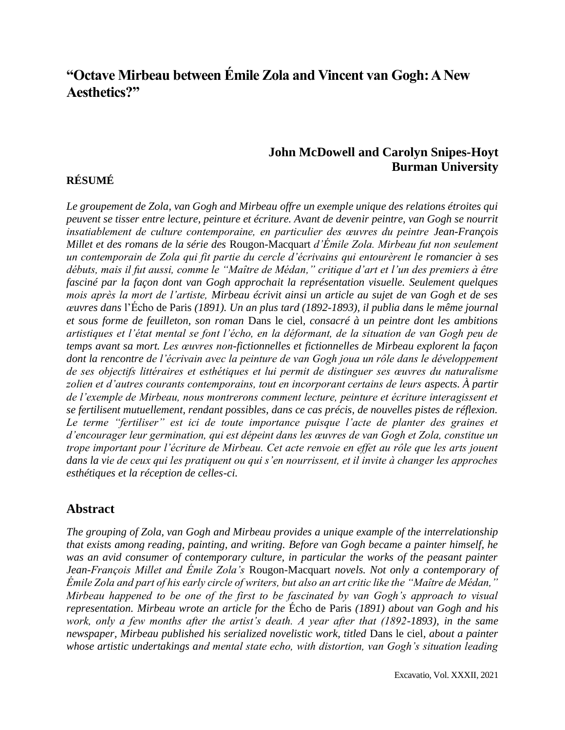# **"Octave Mirbeau between Émile Zola and Vincent van Gogh: A New Aesthetics?"**

### **John McDowell and Carolyn Snipes-Hoyt Burman University**

## **RÉSUMÉ**

*Le groupement de Zola, van Gogh and Mirbeau offre un exemple unique des relations étroites qui peuvent se tisser entre lecture, peinture et écriture. Avant de devenir peintre, van Gogh se nourrit insatiablement de culture contemporaine, en particulier des œuvres du peintre Jean-François Millet et des romans de la série des* Rougon*-*Macquart *d'Émile Zola. Mirbeau fut non seulement un contemporain de Zola qui fit partie du cercle d'écrivains qui entourèrent le romancier à ses débuts, mais il fut aussi, comme le "Maître de Médan," critique d'art et l'un des premiers à être fasciné par la façon dont van Gogh approchait la représentation visuelle. Seulement quelques mois après la mort de l'artiste, Mirbeau écrivit ainsi un article au sujet de van Gogh et de ses œuvres dans* l'Écho de Paris *(1891). Un an plus tard (1892-1893), il publia dans le même journal et sous forme de feuilleton, son roman* Dans le ciel*, consacré à un peintre dont les ambitions artistiques et l'état mental se font l'écho, en la déformant, de la situation de van Gogh peu de temps avant sa mort. Les œuvres non-fictionnelles et fictionnelles de Mirbeau explorent la façon dont la rencontre de l'écrivain avec la peinture de van Gogh joua un rôle dans le développement de ses objectifs littéraires et esthétiques et lui permit de distinguer ses œuvres du naturalisme zolien et d'autres courants contemporains, tout en incorporant certains de leurs aspects. À partir de l'exemple de Mirbeau, nous montrerons comment lecture, peinture et écriture interagissent et se fertilisent mutuellement, rendant possibles, dans ce cas précis, de nouvelles pistes de réflexion.*  Le terme "fertiliser" est ici de toute importance puisque l'acte de planter des graines et *d'encourager leur germination, qui est dépeint dans les œuvres de van Gogh et Zola, constitue un trope important pour l'écriture de Mirbeau. Cet acte renvoie en effet au rôle que les arts jouent dans la vie de ceux qui les pratiquent ou qui s'en nourrissent, et il invite à changer les approches esthétiques et la réception de celles-ci.* 

### **Abstract**

*The grouping of Zola, van Gogh and Mirbeau provides a unique example of the interrelationship that exists among reading, painting, and writing. Before van Gogh became a painter himself, he was an avid consumer of contemporary culture, in particular the works of the peasant painter Jean-François Millet and Émile Zola's* Rougon-Macquart *novels. Not only a contemporary of Émile Zola and part of his early circle of writers, but also an art critic like the "Maître de Médan," Mirbeau happened to be one of the first to be fascinated by van Gogh's approach to visual representation. Mirbeau wrote an article for the* Écho de Paris *(1891) about van Gogh and his work, only a few months after the artist's death. A year after that (1892-1893), in the same newspaper, Mirbeau published his serialized novelistic work, titled* Dans le ciel*, about a painter whose artistic undertakings and mental state echo, with distortion, van Gogh's situation leading*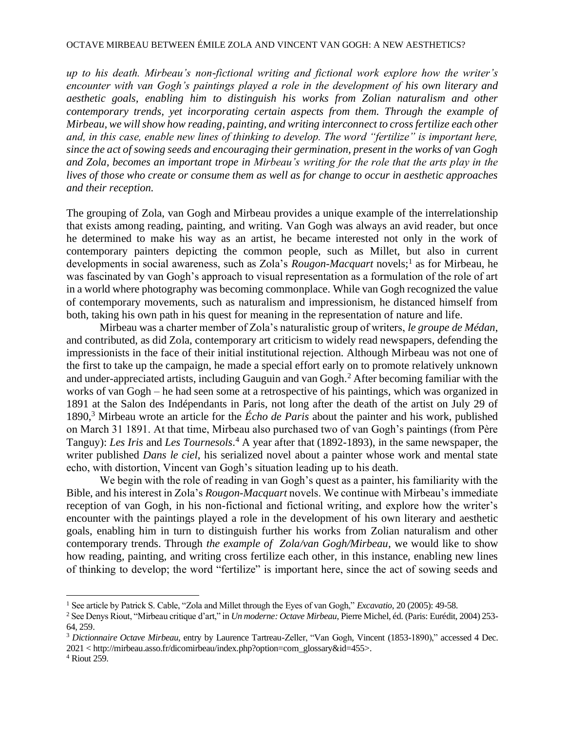### OCTAVE MIRBEAU BETWEEN ÉMILE ZOLA AND VINCENT VAN GOGH: A NEW AESTHETICS?

*up to his death. Mirbeau's non-fictional writing and fictional work explore how the writer's encounter with van Gogh's paintings played a role in the development of his own literary and aesthetic goals, enabling him to distinguish his works from Zolian naturalism and other contemporary trends, yet incorporating certain aspects from them. Through the example of Mirbeau, we will show how reading, painting, and writing interconnect to cross fertilize each other and, in this case, enable new lines of thinking to develop. The word "fertilize" is important here, since the act of sowing seeds and encouraging their germination, present in the works of van Gogh and Zola, becomes an important trope in Mirbeau's writing for the role that the arts play in the lives of those who create or consume them as well as for change to occur in aesthetic approaches and their reception.* 

The grouping of Zola, van Gogh and Mirbeau provides a unique example of the interrelationship that exists among reading, painting, and writing*.* Van Gogh was always an avid reader, but once he determined to make his way as an artist, he became interested not only in the work of contemporary painters depicting the common people, such as Millet, but also in current developments in social awareness, such as Zola's *Rougon-Macquart* novels;<sup>1</sup> as for Mirbeau, he was fascinated by van Gogh's approach to visual representation as a formulation of the role of art in a world where photography was becoming commonplace. While van Gogh recognized the value of contemporary movements, such as naturalism and impressionism, he distanced himself from both, taking his own path in his quest for meaning in the representation of nature and life.

Mirbeau was a charter member of Zola's naturalistic group of writers, *le groupe de Médan*, and contributed, as did Zola, contemporary art criticism to widely read newspapers, defending the impressionists in the face of their initial institutional rejection. Although Mirbeau was not one of the first to take up the campaign, he made a special effort early on to promote relatively unknown and under-appreciated artists, including Gauguin and van Gogh.<sup>2</sup> After becoming familiar with the works of van Gogh – he had seen some at a retrospective of his paintings, which was organized in 1891 at the Salon des Indépendants in Paris, not long after the death of the artist on July 29 of 1890,<sup>3</sup> Mirbeau wrote an article for the *Écho de Paris* about the painter and his work, published on March 31 1891. At that time, Mirbeau also purchased two of van Gogh's paintings (from Père Tanguy): *Les Iris* and *Les Tournesols*. <sup>4</sup> A year after that (1892-1893), in the same newspaper, the writer published *Dans le ciel*, his serialized novel about a painter whose work and mental state echo, with distortion, Vincent van Gogh's situation leading up to his death.

We begin with the role of reading in van Gogh's quest as a painter, his familiarity with the Bible, and his interest in Zola's *Rougon-Macquart* novels. We continue with Mirbeau's immediate reception of van Gogh, in his non-fictional and fictional writing, and explore how the writer's encounter with the paintings played a role in the development of his own literary and aesthetic goals, enabling him in turn to distinguish further his works from Zolian naturalism and other contemporary trends. Through *the example of Zola/van Gogh/Mirbeau*, we would like to show how reading, painting, and writing cross fertilize each other, in this instance, enabling new lines of thinking to develop; the word "fertilize" is important here, since the act of sowing seeds and

<sup>1</sup> See article by Patrick S. Cable, "Zola and Millet through the Eyes of van Gogh," *Excavatio*, 20 (2005): 49-58.

<sup>2</sup>See Denys Riout, "Mirbeau critique d'art," in *Un moderne: Octave Mirbeau*, Pierre Michel, éd. (Paris: Eurédit, 2004) 253- 64, 259.

<sup>3</sup> *Dictionnaire Octave Mirbeau*, entry by Laurence Tartreau-Zeller, "Van Gogh, Vincent (1853-1890)," accessed 4 Dec. 2021 < http://mirbeau.asso.fr/dicomirbeau/index.php?option=com\_glossary&id=455>.

<sup>4</sup> Riout 259.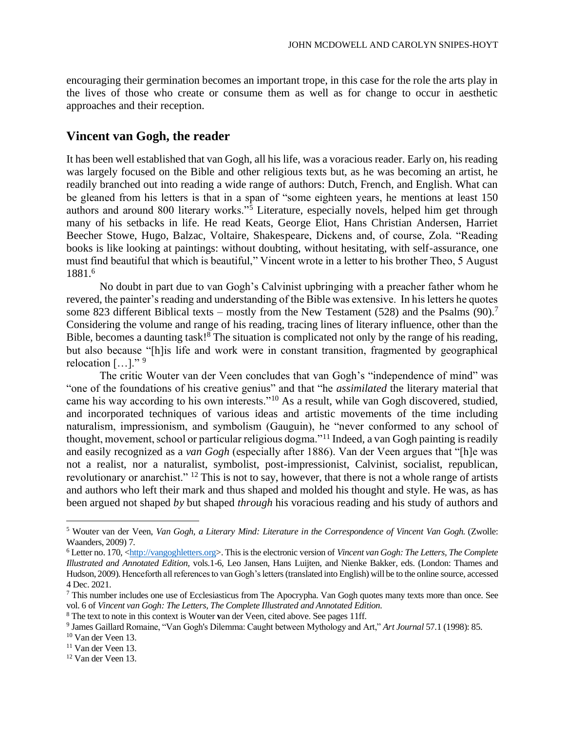encouraging their germination becomes an important trope, in this case for the role the arts play in the lives of those who create or consume them as well as for change to occur in aesthetic approaches and their reception.

### **Vincent van Gogh, the reader**

It has been well established that van Gogh, all his life, was a voracious reader. Early on, his reading was largely focused on the Bible and other religious texts but, as he was becoming an artist, he readily branched out into reading a wide range of authors: Dutch, French, and English. What can be gleaned from his letters is that in a span of "some eighteen years, he mentions at least 150 authors and around 800 literary works."<sup>5</sup> Literature, especially novels, helped him get through many of his setbacks in life. He read Keats, George Eliot, Hans Christian Andersen, Harriet Beecher Stowe, Hugo, Balzac, Voltaire, Shakespeare, Dickens and, of course, Zola. "Reading books is like looking at paintings: without doubting, without hesitating, with self-assurance, one must find beautiful that which is beautiful," Vincent wrote in a letter to his brother Theo, 5 August 1881.<sup>6</sup>

No doubt in part due to van Gogh's Calvinist upbringing with a preacher father whom he revered, the painter's reading and understanding of the Bible was extensive. In his letters he quotes some 823 different Biblical texts – mostly from the New Testament (528) and the Psalms (90).<sup>7</sup> Considering the volume and range of his reading, tracing lines of literary influence, other than the Bible, becomes a daunting task!<sup>8</sup> The situation is complicated not only by the range of his reading, but also because "[h]is life and work were in constant transition, fragmented by geographical relocation  $[\dots]$ ."<sup>9</sup>

The critic Wouter van der Veen concludes that van Gogh's "independence of mind" was "one of the foundations of his creative genius" and that "he *assimilated* the literary material that came his way according to his own interests."<sup>10</sup> As a result, while van Gogh discovered, studied, and incorporated techniques of various ideas and artistic movements of the time including naturalism, impressionism, and symbolism (Gauguin), he "never conformed to any school of thought, movement, school or particular religious dogma."<sup>11</sup> Indeed, a van Gogh painting is readily and easily recognized as a *van Gogh* (especially after 1886). Van der Veen argues that "[h]e was not a realist, nor a naturalist, symbolist, post-impressionist, Calvinist, socialist, republican, revolutionary or anarchist." <sup>12</sup> This is not to say, however, that there is not a whole range of artists and authors who left their mark and thus shaped and molded his thought and style. He was, as has been argued not shaped *by* but shaped *through* his voracious reading and his study of authors and

<sup>5</sup> Wouter van der Veen, *Van Gogh, a Literary Mind: Literature in the Correspondence of Vincent Van Gogh.* (Zwolle: Waanders, 2009) 7.

<sup>6</sup> Letter no. 170, <http://vangoghletters.org>. This is the electronic version of *Vincent van Gogh: The Letters, The Complete Illustrated and Annotated Edition,* vols*.*1-6, Leo Jansen, Hans Luijten, and Nienke Bakker, eds. (London: Thames and Hudson, 2009). Henceforth all references to van Gogh's letters (translated into English) will be to the online source, accessed 4 Dec. 2021.

<sup>7</sup> This number includes one use of Ecclesiasticus from The Apocrypha. Van Gogh quotes many texts more than once. See vol. 6 of *Vincent van Gogh: The Letters, The Complete Illustrated and Annotated Edition.* 

<sup>8</sup> The text to note in this context is Wouter **v**an der Veen, cited above. See pages 11ff.

<sup>9</sup> James Gaillard Romaine, "Van Gogh's Dilemma: Caught between Mythology and Art," *Art Journal* 57.1 (1998): 85.

<sup>10</sup> Van der Veen 13.

<sup>11</sup> Van der Veen 13.

<sup>12</sup> Van der Veen 13.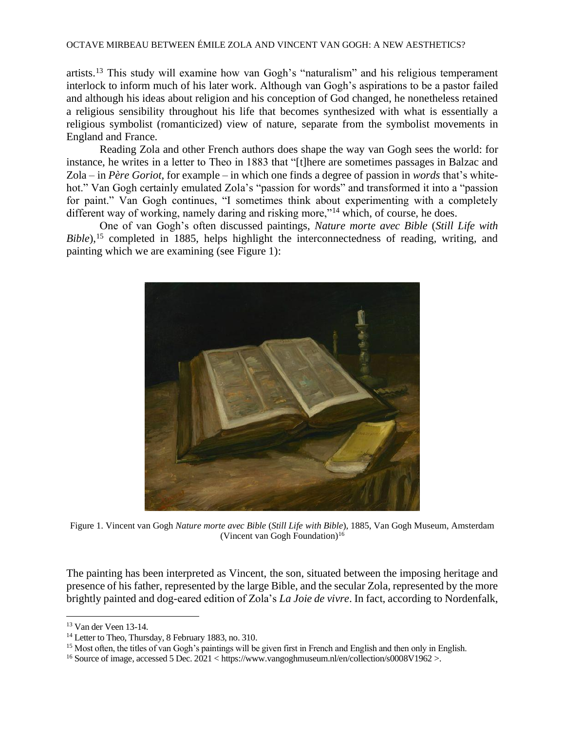### OCTAVE MIRBEAU BETWEEN ÉMILE ZOLA AND VINCENT VAN GOGH: A NEW AESTHETICS?

artists.<sup>13</sup> This study will examine how van Gogh's "naturalism" and his religious temperament interlock to inform much of his later work. Although van Gogh's aspirations to be a pastor failed and although his ideas about religion and his conception of God changed, he nonetheless retained a religious sensibility throughout his life that becomes synthesized with what is essentially a religious symbolist (romanticized) view of nature, separate from the symbolist movements in England and France.

Reading Zola and other French authors does shape the way van Gogh sees the world: for instance, he writes in a letter to Theo in 1883 that "[t]here are sometimes passages in Balzac and Zola – in *Père Goriot*, for example – in which one finds a degree of passion in *words* that's whitehot." Van Gogh certainly emulated Zola's "passion for words" and transformed it into a "passion for paint." Van Gogh continues, "I sometimes think about experimenting with a completely different way of working, namely daring and risking more,"<sup>14</sup> which, of course, he does.

One of van Gogh's often discussed paintings, *Nature morte avec Bible* (*Still Life with Bible*),<sup>15</sup> completed in 1885, helps highlight the interconnectedness of reading, writing, and painting which we are examining (see Figure 1):



Figure 1. Vincent van Gogh *Nature morte avec Bible* (*Still Life with Bible*), 1885, Van Gogh Museum, Amsterdam (Vincent van Gogh Foundation) $16$ 

The painting has been interpreted as Vincent, the son, situated between the imposing heritage and presence of his father, represented by the large Bible, and the secular Zola, represented by the more brightly painted and dog-eared edition of Zola's *La Joie de vivre*. In fact, according to Nordenfalk,

<sup>13</sup> Van der Veen 13-14.

<sup>&</sup>lt;sup>14</sup> Letter to Theo, Thursday, 8 February 1883, no. 310.

<sup>&</sup>lt;sup>15</sup> Most often, the titles of van Gogh's paintings will be given first in French and English and then only in English.

<sup>&</sup>lt;sup>16</sup> Source of image, accessed 5 Dec. 2021 < https://www.vangoghmuseum.nl/en/collection/s0008V1962 >.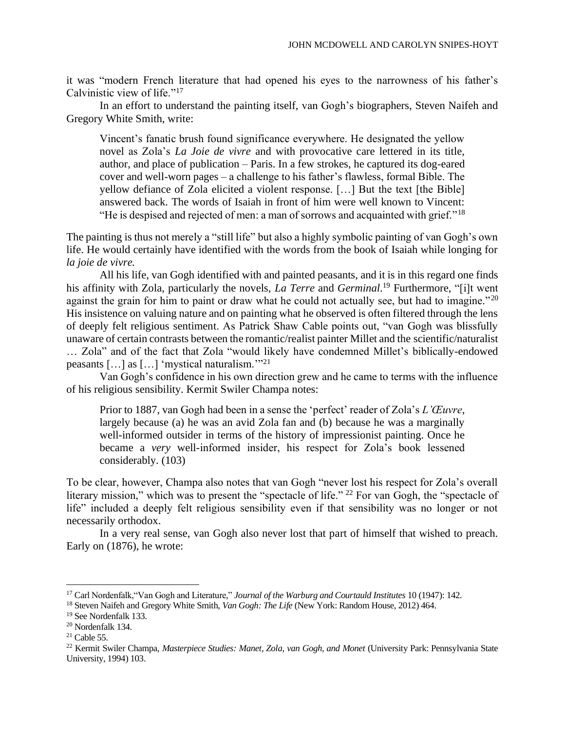it was "modern French literature that had opened his eyes to the narrowness of his father's Calvinistic view of life."<sup>17</sup>

In an effort to understand the painting itself, van Gogh's biographers, Steven Naifeh and Gregory White Smith, write:

Vincent's fanatic brush found significance everywhere. He designated the yellow novel as Zola's *La Joie de vivre* and with provocative care lettered in its title, author, and place of publication – Paris. In a few strokes, he captured its dog-eared cover and well-worn pages – a challenge to his father's flawless, formal Bible. The yellow defiance of Zola elicited a violent response. […] But the text [the Bible] answered back. The words of Isaiah in front of him were well known to Vincent: "He is despised and rejected of men: a man of sorrows and acquainted with grief."<sup>18</sup>

The painting is thus not merely a "still life" but also a highly symbolic painting of van Gogh's own life. He would certainly have identified with the words from the book of Isaiah while longing for *la joie de vivre.*

All his life, van Gogh identified with and painted peasants, and it is in this regard one finds his affinity with Zola, particularly the novels, *La Terre* and *Germinal*. <sup>19</sup> Furthermore, "[i]t went against the grain for him to paint or draw what he could not actually see, but had to imagine."<sup>20</sup> His insistence on valuing nature and on painting what he observed is often filtered through the lens of deeply felt religious sentiment. As Patrick Shaw Cable points out, "van Gogh was blissfully unaware of certain contrasts between the romantic/realist painter Millet and the scientific/naturalist … Zola" and of the fact that Zola "would likely have condemned Millet's biblically-endowed peasants […] as […] 'mystical naturalism.'"<sup>21</sup>

Van Gogh's confidence in his own direction grew and he came to terms with the influence of his religious sensibility. Kermit Swiler Champa notes:

Prior to 1887, van Gogh had been in a sense the 'perfect' reader of Zola's *L'Œuvre*, largely because (a) he was an avid Zola fan and (b) because he was a marginally well-informed outsider in terms of the history of impressionist painting. Once he became a *very* well-informed insider, his respect for Zola's book lessened considerably. (103)

To be clear, however, Champa also notes that van Gogh "never lost his respect for Zola's overall literary mission," which was to present the "spectacle of life." <sup>22</sup> For van Gogh, the "spectacle of life" included a deeply felt religious sensibility even if that sensibility was no longer or not necessarily orthodox.

In a very real sense, van Gogh also never lost that part of himself that wished to preach. Early on (1876), he wrote:

<sup>17</sup> Carl Nordenfalk,"Van Gogh and Literature," *Journal of the Warburg and Courtauld Institutes* 10 (1947): 142.

<sup>18</sup> Steven Naifeh and Gregory White Smith, *Van Gogh: The Life* (New York: Random House, 2012) 464.

<sup>19</sup> See Nordenfalk 133.

<sup>20</sup> Nordenfalk 134.

 $21$  Cable 55.

<sup>22</sup> Kermit Swiler Champa, *Masterpiece Studies: Manet, Zola, van Gogh, and Monet* (University Park: Pennsylvania State University, 1994) 103.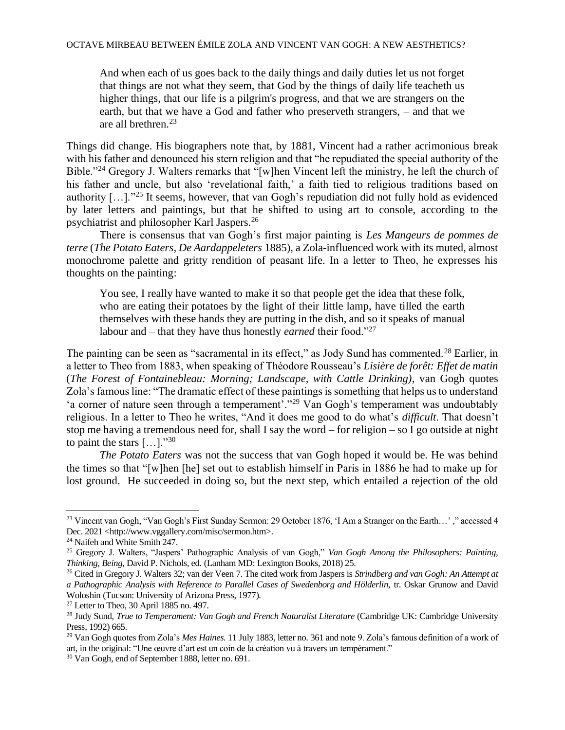And when each of us goes back to the daily things and daily duties let us not forget that things are not what they seem, that God by the things of daily life teacheth us higher things, that our life is a pilgrim's progress, and that we are strangers on the earth, but that we have a God and father who preserveth strangers, – and that we are all brethren.<sup>23</sup>

Things did change. His biographers note that, by 1881, Vincent had a rather acrimonious break with his father and denounced his stern religion and that "he repudiated the special authority of the Bible."<sup>24</sup> Gregory J. Walters remarks that "[w]hen Vincent left the ministry, he left the church of his father and uncle, but also 'revelational faith,' a faith tied to religious traditions based on authority […]."<sup>25</sup> It seems, however, that van Gogh's repudiation did not fully hold as evidenced by later letters and paintings, but that he shifted to using art to console, according to the psychiatrist and philosopher Karl Jaspers.<sup>26</sup>

There is consensus that van Gogh's first major painting is *Les Mangeurs de pommes de terre* (*The Potato Eaters, De Aardappeleters* 1885), a Zola**-**influenced work with its muted, almost monochrome palette and gritty rendition of peasant life. In a letter to Theo, he expresses his thoughts on the painting:

You see, I really have wanted to make it so that people get the idea that these folk, who are eating their potatoes by the light of their little lamp, have tilled the earth themselves with these hands they are putting in the dish, and so it speaks of manual labour and – that they have thus honestly *earned* their food."<sup>27</sup>

The painting can be seen as "sacramental in its effect," as Jody Sund has commented.<sup>28</sup> Earlier. in a letter to Theo from 1883, when speaking of Théodore Rousseau's *Lisière de forêt: Effet de matin* (*The Forest of Fontainebleau: Morning; Landscape, with Cattle Drinking)*, van Gogh quotes Zola's famous line: "The dramatic effect of these paintings is something that helps us to understand 'a corner of nature seen through a temperament'."<sup>29</sup> Van Gogh's temperament was undoubtably religious. In a letter to Theo he writes, "And it does me good to do what's *difficult*. That doesn't stop me having a tremendous need for, shall I say the word – for religion – so I go outside at night to paint the stars  $[\dots]$ ."30

*The Potato Eaters* was not the success that van Gogh hoped it would be. He was behind the times so that "[w]hen [he] set out to establish himself in Paris in 1886 he had to make up for lost ground. He succeeded in doing so, but the next step, which entailed a rejection of the old

<sup>23</sup> Vincent van Gogh, "Van Gogh's First Sunday Sermon: 29 October 1876, 'I Am a Stranger on the Earth…' *,*" accessed 4 Dec. 2021 <http://www.vggallery.com/misc/sermon.htm>.

<sup>24</sup> Naifeh and White Smith 247.

<sup>25</sup> Gregory J. Walters, "Jaspers' Pathographic Analysis of van Gogh," *Van Gogh Among the Philosophers: Painting, Thinking, Being,* David P. Nichols, ed. (Lanham MD: Lexington Books, 2018) 25.

<sup>26</sup> Cited in Gregory J. Walters 32; van der Veen 7. The cited work from Jaspers is *Strindberg and van Gogh: An Attempt at a Pathographic Analysis with Reference to Parallel Cases of Swedenborg and Hölderlin,* tr. Oskar Grunow and David Woloshin (Tucson: University of Arizona Press, 1977).

<sup>27</sup> Letter to Theo, 30 April 1885 no. 497.

<sup>28</sup> Judy Sund, *True to Temperament: Van Gogh and French Naturalist Literature* (Cambridge UK: Cambridge University Press, 1992) 665.

<sup>29</sup> Van Gogh quotes from Zola's *Mes Haines.* 11 July 1883, letter no. 361 and note 9. Zola's famous definition of a work of art, in the original: "Une œuvre d'art est un coin de la création vu à travers un tempérament."

<sup>30</sup> Van Gogh, end of September 1888, letter no. 691.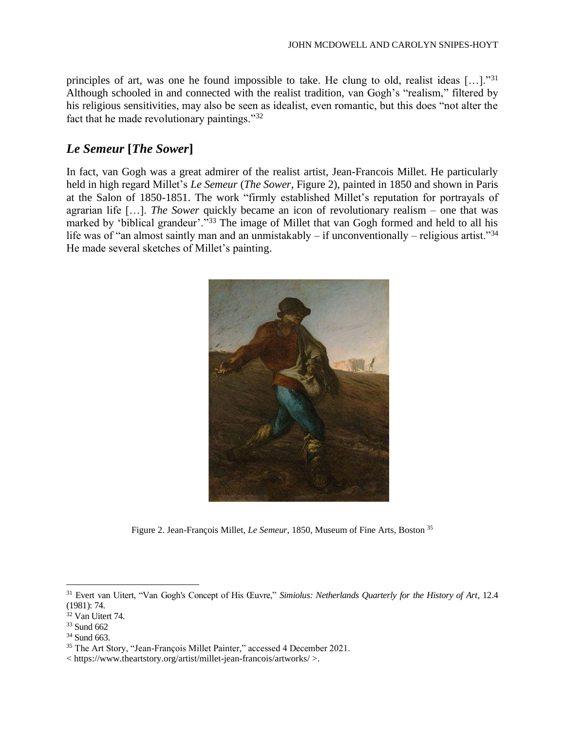principles of art, was one he found impossible to take. He clung to old, realist ideas […]."<sup>31</sup> Although schooled in and connected with the realist tradition, van Gogh's "realism," filtered by his religious sensitivities, may also be seen as idealist, even romantic, but this does "not alter the fact that he made revolutionary paintings."<sup>32</sup>

## *Le Semeur* **[***The Sower***]**

In fact, van Gogh was a great admirer of the realist artist, Jean-Francois Millet. He particularly held in high regard Millet's *Le Semeur* (*The Sower*, Figure 2), painted in 1850 and shown in Paris at the Salon of 1850-1851. The work "firmly established Millet's reputation for portrayals of agrarian life […]. *The Sower* quickly became an icon of revolutionary realism – one that was marked by 'biblical grandeur'."<sup>33</sup> The image of Millet that van Gogh formed and held to all his life was of "an almost saintly man and an unmistakably – if unconventionally – religious artist."<sup>34</sup> He made several sketches of Millet's painting.



Figure 2. Jean-François Millet, *Le Semeur*, 1850, Museum of Fine Arts, Boston <sup>35</sup>

<sup>34</sup> Sund 663.

<sup>31</sup> Evert van Uitert, "Van Gogh's Concept of His Œuvre," *Simiolus: Netherlands Quarterly for the History of Art*, 12.4 (1981): 74.

<sup>32</sup> Van Uitert 74.

<sup>33</sup> Sund 662

<sup>&</sup>lt;sup>35</sup> The Art Story, "Jean-François Millet Painter," accessed 4 December 2021.

<sup>&</sup>lt; https://www.theartstory.org/artist/millet-jean-francois/artworks/ >.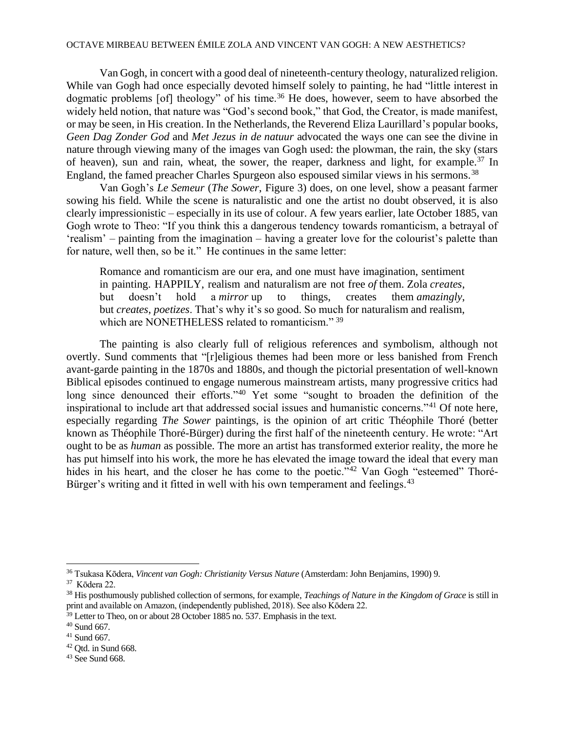### OCTAVE MIRBEAU BETWEEN ÉMILE ZOLA AND VINCENT VAN GOGH: A NEW AESTHETICS?

Van Gogh, in concert with a good deal of nineteenth-century theology, naturalized religion. While van Gogh had once especially devoted himself solely to painting, he had "little interest in dogmatic problems [of] theology" of his time.<sup>36</sup> He does, however, seem to have absorbed the widely held notion, that nature was "God's second book," that God, the Creator, is made manifest, or may be seen, in His creation. In the Netherlands, the Reverend Eliza Laurillard's popular books, *Geen Dag Zonder God* and *Met Jezus in de natuur* advocated the ways one can see the divine in nature through viewing many of the images van Gogh used: the plowman, the rain, the sky (stars of heaven), sun and rain, wheat, the sower, the reaper, darkness and light, for example.<sup>37</sup> In England, the famed preacher Charles Spurgeon also espoused similar views in his sermons.<sup>38</sup>

Van Gogh's *Le Semeur* (*The Sower*, Figure 3) does, on one level, show a peasant farmer sowing his field. While the scene is naturalistic and one the artist no doubt observed, it is also clearly impressionistic – especially in its use of colour. A few years earlier, late October 1885, van Gogh wrote to Theo: "If you think this a dangerous tendency towards romanticism, a betrayal of 'realism' – painting from the imagination – having a greater love for the colourist's palette than for nature, well then, so be it." He continues in the same letter:

Romance and romanticism are our era, and one must have imagination, sentiment in painting. HAPPILY, realism and naturalism are not free *of* them. Zola *creates*, but doesn't hold a *mirror* up to things, creates them *amazingly*, but *creates*, *poetizes*. That's why it's so good. So much for naturalism and realism, which are NONETHELESS related to romanticism." 39

The painting is also clearly full of religious references and symbolism, although not overtly. Sund comments that "[r]eligious themes had been more or less banished from French avant-garde painting in the 1870s and 1880s, and though the pictorial presentation of well-known Biblical episodes continued to engage numerous mainstream artists, many progressive critics had long since denounced their efforts."<sup>40</sup> Yet some "sought to broaden the definition of the inspirational to include art that addressed social issues and humanistic concerns."<sup>41</sup> Of note here, especially regarding *The Sower* paintings, is the opinion of art critic Théophile Thoré (better known as Théophile Thoré-Bürger) during the first half of the nineteenth century. He wrote: "Art ought to be as *human* as possible. The more an artist has transformed exterior reality, the more he has put himself into his work, the more he has elevated the image toward the ideal that every man hides in his heart, and the closer he has come to the poetic."<sup>42</sup> Van Gogh "esteemed" Thoré-Bürger's writing and it fitted in well with his own temperament and feelings.<sup>43</sup>

<sup>39</sup> Letter to Theo, on or about 28 October 1885 no. 537. Emphasis in the text.

<sup>42</sup> Qtd. in Sund 668.

<sup>36</sup> Tsukasa Kōdera, *Vincent van Gogh: Christianity Versus Nature* (Amsterdam: John Benjamins, 1990) 9.

<sup>37</sup> Kōdera 22.

<sup>38</sup> His posthumously published collection of sermons, for example, *Teachings of Nature in the Kingdom of Grace* is still in print and available on Amazon, (independently published, 2018). See also Kōdera 22.

<sup>40</sup> Sund 667.

<sup>41</sup> Sund 667.

<sup>43</sup> See Sund 668.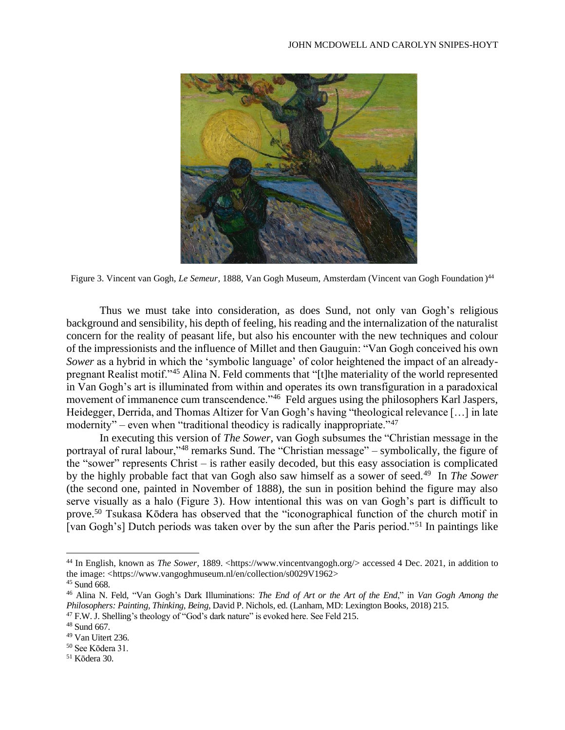

Figure 3. Vincent van Gogh, *Le Semeur,* 1888, Van Gogh Museum, Amsterdam (Vincent van Gogh Foundation ) 44

Thus we must take into consideration, as does Sund, not only van Gogh's religious background and sensibility, his depth of feeling, his reading and the internalization of the naturalist concern for the reality of peasant life, but also his encounter with the new techniques and colour of the impressionists and the influence of Millet and then Gauguin: "Van Gogh conceived his own *Sower* as a hybrid in which the 'symbolic language' of color heightened the impact of an alreadypregnant Realist motif."<sup>45</sup> Alina N. Feld comments that "[t]he materiality of the world represented in Van Gogh's art is illuminated from within and operates its own transfiguration in a paradoxical movement of immanence cum transcendence."<sup>46</sup> Feld argues using the philosophers Karl Jaspers, Heidegger, Derrida, and Thomas Altizer for Van Gogh's having "theological relevance […] in late modernity" – even when "traditional theodicy is radically inappropriate."<sup>47</sup>

In executing this version of *The Sower*, van Gogh subsumes the "Christian message in the portrayal of rural labour,"<sup>48</sup> remarks Sund. The "Christian message" – symbolically, the figure of the "sower" represents Christ – is rather easily decoded, but this easy association is complicated by the highly probable fact that van Gogh also saw himself as a sower of seed.<sup>49</sup> In *The Sower* (the second one, painted in November of 1888), the sun in position behind the figure may also serve visually as a halo (Figure 3). How intentional this was on van Gogh's part is difficult to prove.<sup>50</sup> Tsukasa Kōdera has observed that the "iconographical function of the church motif in [van Gogh's] Dutch periods was taken over by the sun after the Paris period."<sup>51</sup> In paintings like

<sup>&</sup>lt;sup>44</sup> In English, known as *The Sower*, 1889. <https://www.vincentvangogh.org/> accessed 4 Dec. 2021, in addition to the image: <https://www.vangoghmuseum.nl/en/collection/s0029V1962>

<sup>45</sup> Sund 668.

<sup>46</sup> Alina N. Feld, "Van Gogh's Dark Illuminations: *The End of Art or the Art of the End*," in *Van Gogh Among the Philosophers: Painting, Thinking, Being,* David P. Nichols, ed. (Lanham, MD: Lexington Books, 2018) 215.

<sup>47</sup> F.W. J. Shelling's theology of "God's dark nature" is evoked here. See Feld 215.

<sup>48</sup> Sund 667.

<sup>49</sup> Van Uitert 236.

<sup>50</sup> See Kōdera 31.

<sup>51</sup> Kōdera 30.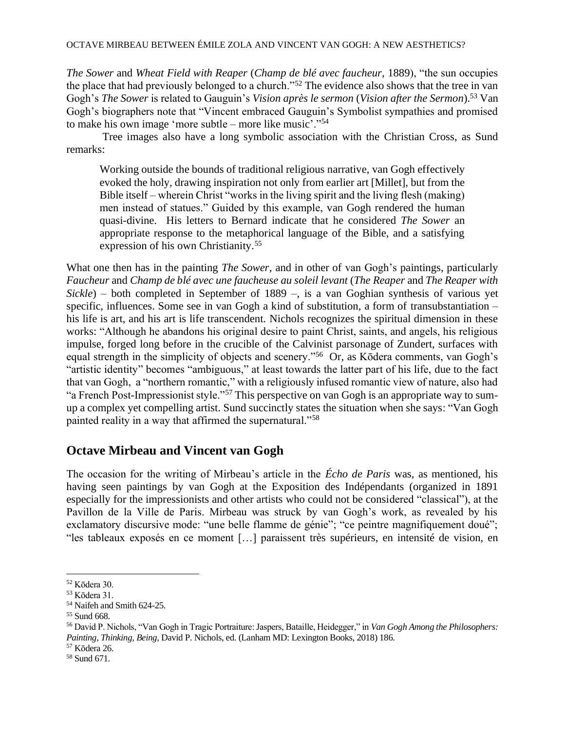*The Sower* and *Wheat Field with Reaper* (*Champ de blé avec faucheur,* 1889), "the sun occupies the place that had previously belonged to a church."<sup>52</sup> The evidence also shows that the tree in van Gogh's *The Sower* is related to Gauguin's *Vision après le sermon* (*Vision after the Sermon*).<sup>53</sup> Van Gogh's biographers note that "Vincent embraced Gauguin's Symbolist sympathies and promised to make his own image 'more subtle – more like music'."<sup>54</sup>

Tree images also have a long symbolic association with the Christian Cross, as Sund remarks:

Working outside the bounds of traditional religious narrative, van Gogh effectively evoked the holy, drawing inspiration not only from earlier art [Millet], but from the Bible itself – wherein Christ "works in the living spirit and the living flesh (making) men instead of statues." Guided by this example, van Gogh rendered the human quasi-divine. His letters to Bernard indicate that he considered *The Sower* an appropriate response to the metaphorical language of the Bible, and a satisfying expression of his own Christianity.<sup>55</sup>

What one then has in the painting *The Sower*, and in other of van Gogh's paintings, particularly *Faucheur* and *Champ de blé avec une faucheuse au soleil levant* (*The Reaper* and *The Reaper with Sickle*) – both completed in September of 1889 –, is a van Goghian synthesis of various yet specific, influences. Some see in van Gogh a kind of substitution, a form of transubstantiation – his life is art, and his art is life transcendent. Nichols recognizes the spiritual dimension in these works: "Although he abandons his original desire to paint Christ, saints, and angels, his religious impulse, forged long before in the crucible of the Calvinist parsonage of Zundert, surfaces with equal strength in the simplicity of objects and scenery."<sup>56</sup> Or, as Kōdera comments, van Gogh's "artistic identity" becomes "ambiguous," at least towards the latter part of his life, due to the fact that van Gogh, a "northern romantic," with a religiously infused romantic view of nature, also had "a French Post-Impressionist style."<sup>57</sup> This perspective on van Gogh is an appropriate way to sumup a complex yet compelling artist. Sund succinctly states the situation when she says: "Van Gogh painted reality in a way that affirmed the supernatural."<sup>58</sup>

## **Octave Mirbeau and Vincent van Gogh**

The occasion for the writing of Mirbeau's article in the *Écho de Paris* was, as mentioned, his having seen paintings by van Gogh at the Exposition des Indépendants (organized in 1891 especially for the impressionists and other artists who could not be considered "classical"), at the Pavillon de la Ville de Paris. Mirbeau was struck by van Gogh's work, as revealed by his exclamatory discursive mode: "une belle flamme de génie"; "ce peintre magnifiquement doué"; "les tableaux exposés en ce moment […] paraissent très supérieurs, en intensité de vision, en

<sup>52</sup> Kōdera 30.

<sup>53</sup> Kōdera 31.

<sup>54</sup> Naifeh and Smith 624-25.

<sup>55</sup> Sund 668.

<sup>56</sup> David P. Nichols, "Van Gogh in Tragic Portraiture: Jaspers, Bataille, Heidegger," in *Van Gogh Among the Philosophers: Painting, Thinking, Being,* David P. Nichols, ed. (Lanham MD: Lexington Books, 2018) 186.

<sup>57</sup> Kōdera 26.

<sup>58</sup> Sund 671.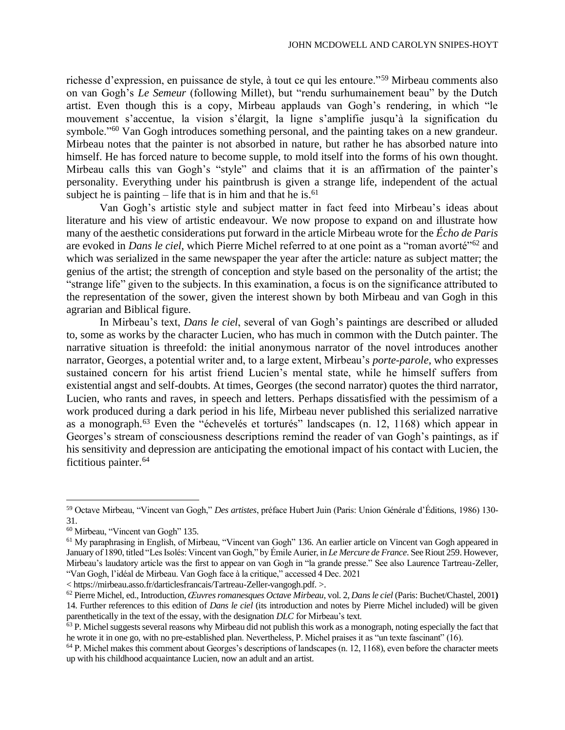richesse d'expression, en puissance de style, à tout ce qui les entoure."<sup>59</sup> Mirbeau comments also on van Gogh's *Le Semeur* (following Millet), but "rendu surhumainement beau" by the Dutch artist. Even though this is a copy, Mirbeau applauds van Gogh's rendering, in which "le mouvement s'accentue, la vision s'élargit, la ligne s'amplifie jusqu'à la signification du symbole."<sup>60</sup> Van Gogh introduces something personal, and the painting takes on a new grandeur. Mirbeau notes that the painter is not absorbed in nature, but rather he has absorbed nature into himself. He has forced nature to become supple, to mold itself into the forms of his own thought. Mirbeau calls this van Gogh's "style" and claims that it is an affirmation of the painter's personality. Everything under his paintbrush is given a strange life, independent of the actual subject he is painting  $-$  life that is in him and that he is.<sup>61</sup>

Van Gogh's artistic style and subject matter in fact feed into Mirbeau's ideas about literature and his view of artistic endeavour. We now propose to expand on and illustrate how many of the aesthetic considerations put forward in the article Mirbeau wrote for the *Écho de Paris* are evoked in *Dans le ciel*, which Pierre Michel referred to at one point as a "roman avorté"<sup>62</sup> and which was serialized in the same newspaper the year after the article: nature as subject matter; the genius of the artist; the strength of conception and style based on the personality of the artist; the "strange life" given to the subjects. In this examination, a focus is on the significance attributed to the representation of the sower, given the interest shown by both Mirbeau and van Gogh in this agrarian and Biblical figure.

In Mirbeau's text, *Dans le ciel*, several of van Gogh's paintings are described or alluded to, some as works by the character Lucien, who has much in common with the Dutch painter. The narrative situation is threefold: the initial anonymous narrator of the novel introduces another narrator, Georges, a potential writer and, to a large extent, Mirbeau's *porte-parole*, who expresses sustained concern for his artist friend Lucien's mental state, while he himself suffers from existential angst and self-doubts. At times, Georges (the second narrator) quotes the third narrator, Lucien, who rants and raves, in speech and letters. Perhaps dissatisfied with the pessimism of a work produced during a dark period in his life, Mirbeau never published this serialized narrative as a monograph.<sup>63</sup> Even the "échevelés et torturés" landscapes (n. 12, 1168) which appear in Georges's stream of consciousness descriptions remind the reader of van Gogh's paintings, as if his sensitivity and depression are anticipating the emotional impact of his contact with Lucien, the fictitious painter.<sup>64</sup>

< https://mirbeau.asso.fr/darticlesfrancais/Tartreau-Zeller-vangogh.pdf. >.

<sup>59</sup> Octave Mirbeau, "Vincent van Gogh," *Des artistes*, préface Hubert Juin (Paris: Union Générale d'Éditions, 1986) 130- 31.

<sup>60</sup> Mirbeau, "Vincent van Gogh" 135.

<sup>&</sup>lt;sup>61</sup> My paraphrasing in English, of Mirbeau, "Vincent van Gogh" 136. An earlier article on Vincent van Gogh appeared in January of 1890, titled "Les Isolés: Vincent van Gogh," by Émile Aurier, in *Le Mercure de France*. See Riout 259. However, Mirbeau's laudatory article was the first to appear on van Gogh in "la grande presse." See also Laurence Tartreau-Zeller, "Van Gogh, l'idéal de Mirbeau. Van Gogh face à la critique," accessed 4 Dec. 2021

<sup>62</sup>Pierre Michel, ed., Introduction, *Œuvres romanesques Octave Mirbeau*, vol. 2, *Dans le ciel* (Paris: Buchet/Chastel, 2001**)**  14. Further references to this edition of *Dans le ciel* (its introduction and notes by Pierre Michel included) will be given parenthetically in the text of the essay, with the designation *DLC* for Mirbeau's text.

 $<sup>63</sup>$  P. Michel suggests several reasons why Mirbeau did not publish this work as a monograph, noting especially the fact that</sup> he wrote it in one go, with no pre-established plan. Nevertheless, P. Michel praises it as "un texte fascinant" (16).

<sup>64</sup> P. Michel makes this comment about Georges's descriptions of landscapes (n. 12, 1168), even before the character meets up with his childhood acquaintance Lucien, now an adult and an artist.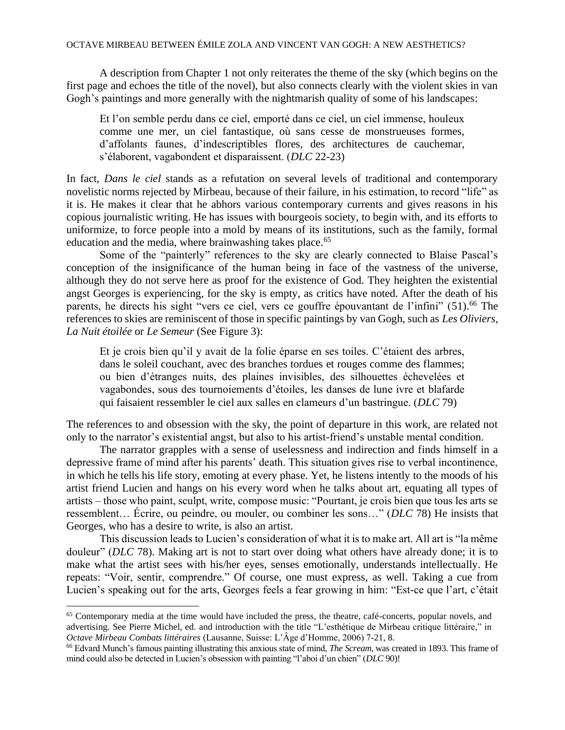A description from Chapter 1 not only reiterates the theme of the sky (which begins on the first page and echoes the title of the novel), but also connects clearly with the violent skies in van Gogh's paintings and more generally with the nightmarish quality of some of his landscapes:

Et l'on semble perdu dans ce ciel, emporté dans ce ciel, un ciel immense, houleux comme une mer, un ciel fantastique, où sans cesse de monstrueuses formes, d'affolants faunes, d'indescriptibles flores, des architectures de cauchemar, s'élaborent, vagabondent et disparaissent. (*DLC* 22-23)

In fact, *Dans le ciel* stands as a refutation on several levels of traditional and contemporary novelistic norms rejected by Mirbeau, because of their failure, in his estimation, to record "life" as it is. He makes it clear that he abhors various contemporary currents and gives reasons in his copious journalistic writing. He has issues with bourgeois society, to begin with, and its efforts to uniformize, to force people into a mold by means of its institutions, such as the family, formal education and the media, where brainwashing takes place.<sup>65</sup>

Some of the "painterly" references to the sky are clearly connected to Blaise Pascal's conception of the insignificance of the human being in face of the vastness of the universe, although they do not serve here as proof for the existence of God. They heighten the existential angst Georges is experiencing, for the sky is empty, as critics have noted. After the death of his parents, he directs his sight "vers ce ciel, vers ce gouffre épouvantant de l'infini" (51).<sup>66</sup> The references to skies are reminiscent of those in specific paintings by van Gogh, such as *Les Oliviers*, *La Nuit étoilée* or *Le Semeur* (See Figure 3):

Et je crois bien qu'il y avait de la folie éparse en ses toiles. C'étaient des arbres, dans le soleil couchant, avec des branches tordues et rouges comme des flammes; ou bien d'étranges nuits, des plaines invisibles, des silhouettes échevelées et vagabondes, sous des tournoiements d'étoiles, les danses de lune ivre et blafarde qui faisaient ressembler le ciel aux salles en clameurs d'un bastringue. (*DLC* 79)

The references to and obsession with the sky, the point of departure in this work, are related not only to the narrator's existential angst, but also to his artist-friend's unstable mental condition.

The narrator grapples with a sense of uselessness and indirection and finds himself in a depressive frame of mind after his parents' death. This situation gives rise to verbal incontinence, in which he tells his life story, emoting at every phase. Yet, he listens intently to the moods of his artist friend Lucien and hangs on his every word when he talks about art, equating all types of artists – those who paint, sculpt, write, compose music: "Pourtant, je crois bien que tous les arts se ressemblent… Écrire, ou peindre, ou mouler, ou combiner les sons…" (*DLC* 78) He insists that Georges, who has a desire to write, is also an artist.

This discussion leads to Lucien's consideration of what it is to make art. All art is "la même douleur" (*DLC* 78). Making art is not to start over doing what others have already done; it is to make what the artist sees with his/her eyes, senses emotionally, understands intellectually. He repeats: "Voir, sentir, comprendre." Of course, one must express, as well. Taking a cue from Lucien's speaking out for the arts, Georges feels a fear growing in him: "Est-ce que l'art, c'était

<sup>&</sup>lt;sup>65</sup> Contemporary media at the time would have included the press, the theatre, café-concerts, popular novels, and advertising. See Pierre Michel, ed. and introduction with the title "L'esthétique de Mirbeau critique littéraire," in *Octave Mirbeau Combats littéraires* (Lausanne, Suisse: L'Âge d'Homme, 2006) 7-21, 8.

<sup>66</sup> Edvard Munch's famous painting illustrating this anxious state of mind, *The Scream*, was created in 1893. This frame of mind could also be detected in Lucien's obsession with painting "l'aboi d'un chien" (*DLC* 90)!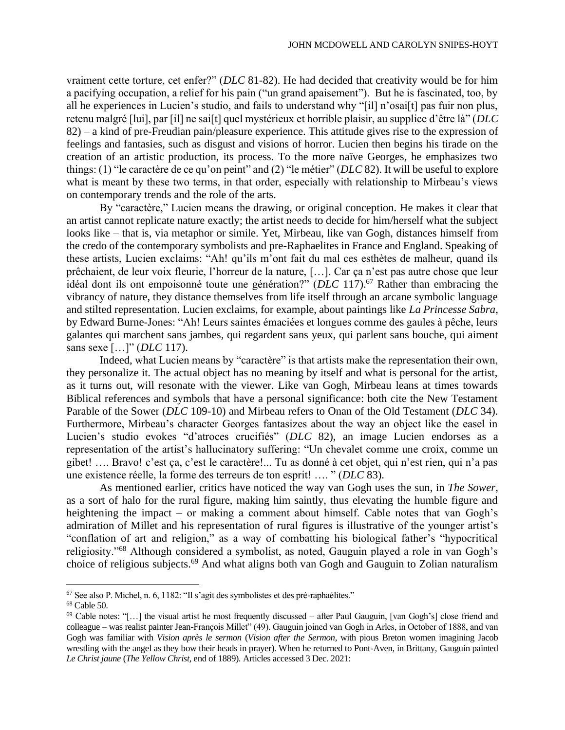vraiment cette torture, cet enfer?" (*DLC* 81-82). He had decided that creativity would be for him a pacifying occupation, a relief for his pain ("un grand apaisement"). But he is fascinated, too, by all he experiences in Lucien's studio, and fails to understand why "[il] n'osai[t] pas fuir non plus, retenu malgré [lui], par [il] ne sai[t] quel mystérieux et horrible plaisir, au supplice d'être là" (*DLC* 82) – a kind of pre-Freudian pain/pleasure experience. This attitude gives rise to the expression of feelings and fantasies, such as disgust and visions of horror. Lucien then begins his tirade on the creation of an artistic production, its process. To the more naïve Georges, he emphasizes two things: (1) "le caractère de ce qu'on peint" and (2) "le métier" (*DLC* 82). It will be useful to explore what is meant by these two terms, in that order, especially with relationship to Mirbeau's views on contemporary trends and the role of the arts.

By "caractère," Lucien means the drawing, or original conception. He makes it clear that an artist cannot replicate nature exactly; the artist needs to decide for him/herself what the subject looks like – that is, via metaphor or simile. Yet, Mirbeau, like van Gogh, distances himself from the credo of the contemporary symbolists and pre-Raphaelites in France and England. Speaking of these artists, Lucien exclaims: "Ah! qu'ils m'ont fait du mal ces esthètes de malheur, quand ils prêchaient, de leur voix fleurie, l'horreur de la nature, […]. Car ça n'est pas autre chose que leur idéal dont ils ont empoisonné toute une génération?" (*DLC* 117).<sup>67</sup> Rather than embracing the vibrancy of nature, they distance themselves from life itself through an arcane symbolic language and stilted representation. Lucien exclaims, for example, about paintings like *La Princesse Sabra*, by Edward Burne-Jones: "Ah! Leurs saintes émaciées et longues comme des gaules à pêche, leurs galantes qui marchent sans jambes, qui regardent sans yeux, qui parlent sans bouche, qui aiment sans sexe […]" (*DLC* 117).

Indeed, what Lucien means by "caractère" is that artists make the representation their own, they personalize it. The actual object has no meaning by itself and what is personal for the artist, as it turns out, will resonate with the viewer. Like van Gogh, Mirbeau leans at times towards Biblical references and symbols that have a personal significance: both cite the New Testament Parable of the Sower (*DLC* 109-10) and Mirbeau refers to Onan of the Old Testament (*DLC* 34). Furthermore, Mirbeau's character Georges fantasizes about the way an object like the easel in Lucien's studio evokes "d'atroces crucifiés" (*DLC* 82), an image Lucien endorses as a representation of the artist's hallucinatory suffering: "Un chevalet comme une croix, comme un gibet! …. Bravo! c'est ça, c'est le caractère!... Tu as donné à cet objet, qui n'est rien, qui n'a pas une existence réelle, la forme des terreurs de ton esprit! …. " (*DLC* 83).

As mentioned earlier, critics have noticed the way van Gogh uses the sun, in *The Sower*, as a sort of halo for the rural figure, making him saintly, thus elevating the humble figure and heightening the impact – or making a comment about himself. Cable notes that van Gogh's admiration of Millet and his representation of rural figures is illustrative of the younger artist's "conflation of art and religion," as a way of combatting his biological father's "hypocritical religiosity."<sup>68</sup> Although considered a symbolist, as noted, Gauguin played a role in van Gogh's choice of religious subjects.<sup>69</sup> And what aligns both van Gogh and Gauguin to Zolian naturalism

<sup>67</sup> See also P. Michel, n. 6, 1182: "Il s'agit des symbolistes et des pré-raphaélites."

<sup>68</sup> Cable 50.

 $69$  Cable notes: "[...] the visual artist he most frequently discussed – after Paul Gauguin, [van Gogh's] close friend and colleague – was realist painter Jean-François Millet" (49). Gauguin joined van Gogh in Arles, in October of 1888, and van Gogh was familiar with *Vision après le sermon* (*Vision after the Sermon*, with pious Breton women imagining Jacob wrestling with the angel as they bow their heads in prayer). When he returned to Pont-Aven, in Brittany, Gauguin painted *Le Christ jaune* (*The Yellow Christ*, end of 1889). Articles accessed 3 Dec. 2021: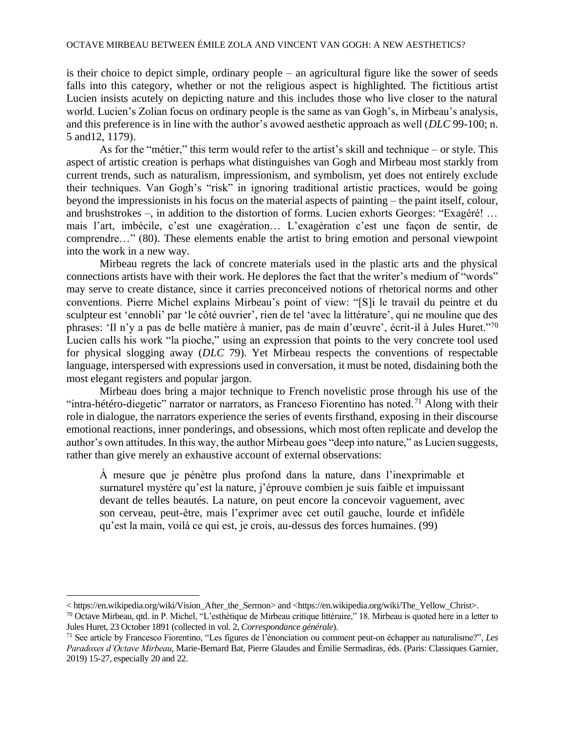is their choice to depict simple, ordinary people – an agricultural figure like the sower of seeds falls into this category, whether or not the religious aspect is highlighted. The fictitious artist Lucien insists acutely on depicting nature and this includes those who live closer to the natural world. Lucien's Zolian focus on ordinary people is the same as van Gogh's, in Mirbeau's analysis, and this preference is in line with the author's avowed aesthetic approach as well (*DLC* 99-100; n. 5 and12, 1179).

As for the "métier," this term would refer to the artist's skill and technique – or style. This aspect of artistic creation is perhaps what distinguishes van Gogh and Mirbeau most starkly from current trends, such as naturalism, impressionism, and symbolism, yet does not entirely exclude their techniques. Van Gogh's "risk" in ignoring traditional artistic practices, would be going beyond the impressionists in his focus on the material aspects of painting – the paint itself, colour, and brushstrokes –, in addition to the distortion of forms. Lucien exhorts Georges: "Exagéré! … mais l'art, imbécile, c'est une exagération… L'exagération c'est une façon de sentir, de comprendre…" (80). These elements enable the artist to bring emotion and personal viewpoint into the work in a new way.

Mirbeau regrets the lack of concrete materials used in the plastic arts and the physical connections artists have with their work. He deplores the fact that the writer's medium of "words" may serve to create distance, since it carries preconceived notions of rhetorical norms and other conventions. Pierre Michel explains Mirbeau's point of view: "[S]i le travail du peintre et du sculpteur est 'ennobli' par 'le côté ouvrier', rien de tel 'avec la littérature', qui ne mouline que des phrases: 'Il n'y a pas de belle matière à manier, pas de main d'œuvre', écrit-il à Jules Huret."<sup>70</sup> Lucien calls his work "la pioche," using an expression that points to the very concrete tool used for physical slogging away (*DLC* 79). Yet Mirbeau respects the conventions of respectable language, interspersed with expressions used in conversation, it must be noted, disdaining both the most elegant registers and popular jargon.

Mirbeau does bring a major technique to French novelistic prose through his use of the "intra-hétéro-diegetic" narrator or narrators, as Franceso Fiorentino has noted.<sup>71</sup> Along with their role in dialogue, the narrators experience the series of events firsthand, exposing in their discourse emotional reactions, inner ponderings, and obsessions, which most often replicate and develop the author's own attitudes. In this way, the author Mirbeau goes "deep into nature," as Lucien suggests, rather than give merely an exhaustive account of external observations:

À mesure que je pénètre plus profond dans la nature, dans l'inexprimable et surnaturel mystère qu'est la nature, j'éprouve combien je suis faible et impuissant devant de telles beautés. La nature, on peut encore la concevoir vaguement, avec son cerveau, peut-être, mais l'exprimer avec cet outil gauche, lourde et infidèle qu'est la main, voilà ce qui est, je crois, au-dessus des forces humaines. (99)

<sup>&</sup>lt; https://en.wikipedia.org/wiki/Vision\_After\_the\_Sermon> and <https://en.wikipedia.org/wiki/The\_Yellow\_Christ>.

<sup>70</sup> Octave Mirbeau, qtd. in P. Michel, "L'esthétique de Mirbeau critique littéraire," 18. Mirbeau is quoted here in a letter to Jules Huret, 23 October 1891 (collected in vol. 2, *Correspondance générale*).

<sup>71</sup> See article by Francesco Fiorentino, "Les figures de l'énonciation ou comment peut-on échapper au naturalisme?", *Les Paradoxes d'Octave Mirbeau*, Marie-Bernard Bat, Pierre Glaudes and Émilie Sermadiras, éds. (Paris: Classiques Garnier, 2019) 15-27, especially 20 and 22.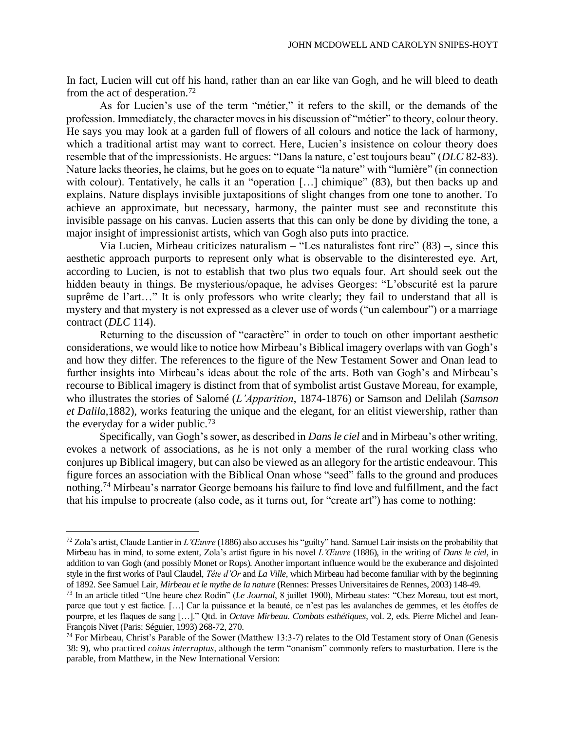In fact, Lucien will cut off his hand, rather than an ear like van Gogh, and he will bleed to death from the act of desperation.<sup>72</sup>

As for Lucien's use of the term "métier," it refers to the skill, or the demands of the profession. Immediately, the character moves in his discussion of "métier" to theory, colour theory. He says you may look at a garden full of flowers of all colours and notice the lack of harmony, which a traditional artist may want to correct. Here, Lucien's insistence on colour theory does resemble that of the impressionists. He argues: "Dans la nature, c'est toujours beau" (*DLC* 82-83). Nature lacks theories, he claims, but he goes on to equate "la nature" with "lumière" (in connection with colour). Tentatively, he calls it an "operation [...] chimique" (83), but then backs up and explains. Nature displays invisible juxtapositions of slight changes from one tone to another. To achieve an approximate, but necessary, harmony, the painter must see and reconstitute this invisible passage on his canvas. Lucien asserts that this can only be done by dividing the tone, a major insight of impressionist artists, which van Gogh also puts into practice.

Via Lucien, Mirbeau criticizes naturalism – "Les naturalistes font rire" (83) –, since this aesthetic approach purports to represent only what is observable to the disinterested eye. Art, according to Lucien, is not to establish that two plus two equals four. Art should seek out the hidden beauty in things. Be mysterious/opaque, he advises Georges: "L'obscurité est la parure suprême de l'art…" It is only professors who write clearly; they fail to understand that all is mystery and that mystery is not expressed as a clever use of words ("un calembour") or a marriage contract (*DLC* 114).

Returning to the discussion of "caractère" in order to touch on other important aesthetic considerations, we would like to notice how Mirbeau's Biblical imagery overlaps with van Gogh's and how they differ. The references to the figure of the New Testament Sower and Onan lead to further insights into Mirbeau's ideas about the role of the arts. Both van Gogh's and Mirbeau's recourse to Biblical imagery is distinct from that of symbolist artist Gustave Moreau, for example, who illustrates the stories of Salomé (*L'Apparition*, 1874-1876) or Samson and Delilah (*Samson et Dalila*,1882), works featuring the unique and the elegant, for an elitist viewership, rather than the everyday for a wider public.<sup>73</sup>

Specifically, van Gogh's sower, as described in *Dans le ciel* and in Mirbeau's other writing, evokes a network of associations, as he is not only a member of the rural working class who conjures up Biblical imagery, but can also be viewed as an allegory for the artistic endeavour. This figure forces an association with the Biblical Onan whose "seed" falls to the ground and produces nothing.<sup>74</sup> Mirbeau's narrator George bemoans his failure to find love and fulfillment, and the fact that his impulse to procreate (also code, as it turns out, for "create art") has come to nothing:

<sup>72</sup> Zola's artist, Claude Lantier in *L'Œuvre* (1886) also accuses his "guilty" hand. Samuel Lair insists on the probability that Mirbeau has in mind, to some extent, Zola's artist figure in his novel *L'Œuvre* (1886), in the writing of *Dans le ciel*, in addition to van Gogh (and possibly Monet or Rops). Another important influence would be the exuberance and disjointed style in the first works of Paul Claudel, *Tête d'Or* and *La Ville*, which Mirbeau had become familiar with by the beginning of 1892. See Samuel Lair, *Mirbeau et le mythe de la nature* (Rennes: Presses Universitaires de Rennes, 2003) 148-49.

<sup>73</sup> In an article titled "Une heure chez Rodin" (*Le Journal*, 8 juillet 1900), Mirbeau states: "Chez Moreau, tout est mort, parce que tout y est factice. […] Car la puissance et la beauté, ce n'est pas les avalanches de gemmes, et les étoffes de pourpre, et les flaques de sang […]." Qtd. in *Octave Mirbeau*. *Combats esthétiques*, vol. 2, eds. Pierre Michel and Jean-François Nivet (Paris: Séguier, 1993) 268-72, 270.

<sup>74</sup> For Mirbeau, Christ's Parable of the Sower (Matthew 13:3-7) relates to the Old Testament story of Onan (Genesis 38: 9), who practiced *coitus interruptus*, although the term "onanism" commonly refers to masturbation. Here is the parable, from Matthew, in the New International Version: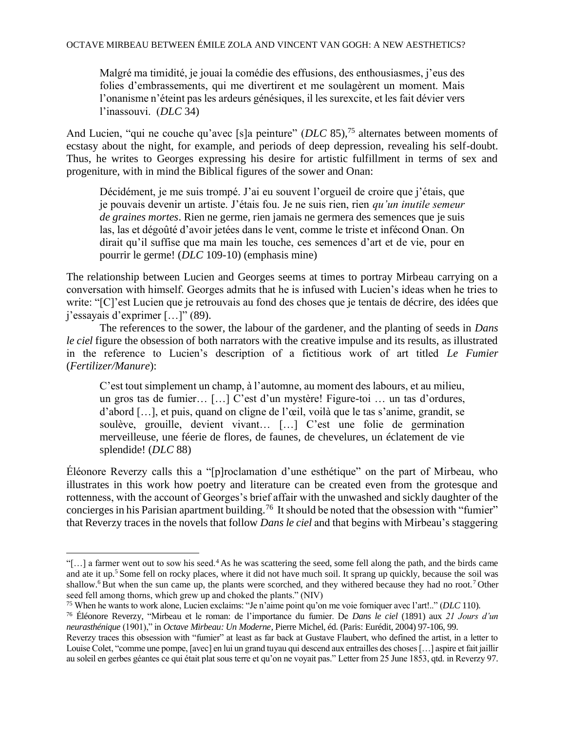Malgré ma timidité, je jouai la comédie des effusions, des enthousiasmes, j'eus des folies d'embrassements, qui me divertirent et me soulagèrent un moment. Mais l'onanisme n'éteint pas les ardeurs génésiques, il les surexcite, et les fait dévier vers l'inassouvi. (*DLC* 34)

And Lucien, "qui ne couche qu'avec [s]a peinture" (*DLC* 85),<sup>75</sup> alternates between moments of ecstasy about the night, for example, and periods of deep depression, revealing his self-doubt. Thus, he writes to Georges expressing his desire for artistic fulfillment in terms of sex and progeniture, with in mind the Biblical figures of the sower and Onan:

Décidément, je me suis trompé. J'ai eu souvent l'orgueil de croire que j'étais, que je pouvais devenir un artiste. J'étais fou. Je ne suis rien, rien *qu'un inutile semeur de graines mortes*. Rien ne germe, rien jamais ne germera des semences que je suis las, las et dégoûté d'avoir jetées dans le vent, comme le triste et infécond Onan. On dirait qu'il suffise que ma main les touche, ces semences d'art et de vie, pour en pourrir le germe! (*DLC* 109-10) (emphasis mine)

The relationship between Lucien and Georges seems at times to portray Mirbeau carrying on a conversation with himself. Georges admits that he is infused with Lucien's ideas when he tries to write: "[C]'est Lucien que je retrouvais au fond des choses que je tentais de décrire, des idées que j'essayais d'exprimer […]" (89).

The references to the sower, the labour of the gardener, and the planting of seeds in *Dans le ciel* figure the obsession of both narrators with the creative impulse and its results, as illustrated in the reference to Lucien's description of a fictitious work of art titled *Le Fumier* (*Fertilizer/Manure*):

C'est tout simplement un champ, à l'automne, au moment des labours, et au milieu, un gros tas de fumier… […] C'est d'un mystère! Figure-toi … un tas d'ordures, d'abord […], et puis, quand on cligne de l'œil, voilà que le tas s'anime, grandit, se soulève, grouille, devient vivant… […] C'est une folie de germination merveilleuse, une féerie de flores, de faunes, de chevelures, un éclatement de vie splendide! (*DLC* 88)

Éléonore Reverzy calls this a "[p]roclamation d'une esthétique" on the part of Mirbeau, who illustrates in this work how poetry and literature can be created even from the grotesque and rottenness, with the account of Georges's brief affair with the unwashed and sickly daughter of the concierges in his Parisian apartment building.<sup>76</sup> It should be noted that the obsession with "fumier" that Reverzy traces in the novels that follow *Dans le ciel* and that begins with Mirbeau's staggering

<sup>&</sup>quot;[...] a farmer went out to sow his seed.<sup>4</sup> As he was scattering the seed, some fell along the path, and the birds came and ate it up.<sup>5</sup> Some fell on rocky places, where it did not have much soil. It sprang up quickly, because the soil was shallow.<sup>6</sup> But when the sun came up, the plants were scorched, and they withered because they had no root.<sup>7</sup> Other seed fell among thorns, which grew up and choked the plants." (NIV)

<sup>75</sup> When he wants to work alone, Lucien exclaims: "Je n'aime point qu'on me voie forniquer avec l'art!.." (*DLC* 110).

<sup>76</sup> Éléonore Reverzy, "Mirbeau et le roman: de l'importance du fumier. De *Dans le ciel* (1891) aux *21 Jours d'un neurasthénique* (1901)," in *Octave Mirbeau: Un Moderne*, Pierre Michel, éd. (Paris: Eurédit, 2004) 97-106, 99.

Reverzy traces this obsession with "fumier" at least as far back at Gustave Flaubert, who defined the artist, in a letter to Louise Colet, "comme une pompe, [avec] en lui un grand tuyau qui descend aux entrailles des choses […] aspire et fait jaillir au soleil en gerbes géantes ce qui était plat sous terre et qu'on ne voyait pas." Letter from 25 June 1853, qtd. in Reverzy 97.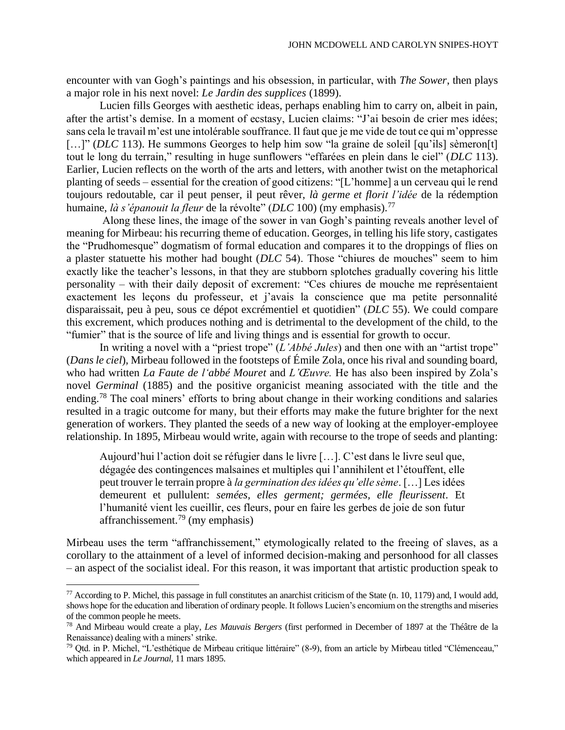encounter with van Gogh's paintings and his obsession, in particular, with *The Sower*, then plays a major role in his next novel: *Le Jardin des supplices* (1899).

Lucien fills Georges with aesthetic ideas, perhaps enabling him to carry on, albeit in pain, after the artist's demise. In a moment of ecstasy, Lucien claims: "J'ai besoin de crier mes idées; sans cela le travail m'est une intolérable souffrance. Il faut que je me vide de tout ce qui m'oppresse [...]" (*DLC* 113). He summons Georges to help him sow "la graine de soleil [qu'ils] sèmeron[t] tout le long du terrain," resulting in huge sunflowers "effarées en plein dans le ciel" (*DLC* 113). Earlier, Lucien reflects on the worth of the arts and letters, with another twist on the metaphorical planting of seeds – essential for the creation of good citizens: "[L'homme] a un cerveau qui le rend toujours redoutable, car il peut penser, il peut rêver, *là germe et florit l'idée* de la rédemption humaine, *là s'épanouit la fleur* de la révolte" (*DLC* 100) (my emphasis).<sup>77</sup>

Along these lines, the image of the sower in van Gogh's painting reveals another level of meaning for Mirbeau: his recurring theme of education. Georges, in telling his life story, castigates the "Prudhomesque" dogmatism of formal education and compares it to the droppings of flies on a plaster statuette his mother had bought (*DLC* 54). Those "chiures de mouches" seem to him exactly like the teacher's lessons, in that they are stubborn splotches gradually covering his little personality – with their daily deposit of excrement: "Ces chiures de mouche me représentaient exactement les leçons du professeur, et j'avais la conscience que ma petite personnalité disparaissait, peu à peu, sous ce dépot excrémentiel et quotidien" (*DLC* 55). We could compare this excrement, which produces nothing and is detrimental to the development of the child, to the "fumier" that is the source of life and living things and is essential for growth to occur.

In writing a novel with a "priest trope" (*L'Abbé Jules*) and then one with an "artist trope" (*Dans le ciel*), Mirbeau followed in the footsteps of Émile Zola, once his rival and sounding board, who had written *La Faute de l'abbé Mouret* and *L'Œuvre.* He has also been inspired by Zola's novel *Germinal* (1885) and the positive organicist meaning associated with the title and the ending.<sup>78</sup> The coal miners' efforts to bring about change in their working conditions and salaries resulted in a tragic outcome for many, but their efforts may make the future brighter for the next generation of workers. They planted the seeds of a new way of looking at the employer-employee relationship. In 1895, Mirbeau would write, again with recourse to the trope of seeds and planting:

Aujourd'hui l'action doit se réfugier dans le livre […]. C'est dans le livre seul que, dégagée des contingences malsaines et multiples qui l'annihilent et l'étouffent, elle peut trouver le terrain propre à *la germination des idées qu'elle sème*. […] Les idées demeurent et pullulent: *semées, elles germent; germées, elle fleurissent*. Et l'humanité vient les cueillir, ces fleurs, pour en faire les gerbes de joie de son futur affranchissement.<sup>79</sup> (my emphasis)

Mirbeau uses the term "affranchissement," etymologically related to the freeing of slaves, as a corollary to the attainment of a level of informed decision-making and personhood for all classes – an aspect of the socialist ideal. For this reason, it was important that artistic production speak to

 $77$  According to P. Michel, this passage in full constitutes an anarchist criticism of the State (n. 10, 1179) and, I would add, shows hope for the education and liberation of ordinary people. It follows Lucien's encomium on the strengths and miseries of the common people he meets.

<sup>78</sup> And Mirbeau would create a play, *Les Mauvais Bergers* (first performed in December of 1897 at the Théâtre de la Renaissance) dealing with a miners' strike.

<sup>79</sup> Qtd. in P. Michel, "L'esthétique de Mirbeau critique littéraire" (8-9), from an article by Mirbeau titled "Clémenceau," which appeared in *Le Journal*, 11 mars 1895.